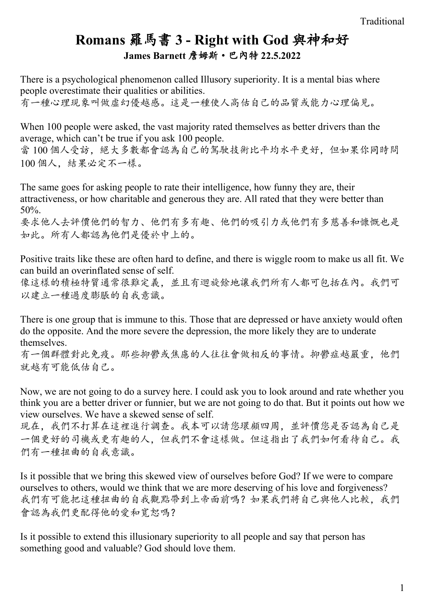## **Romans** 羅馬書 **3 - Right with God** 與神和好 **James Barnett** 詹姆斯·巴內特 **22.5.2022**

There is a psychological phenomenon called Illusory superiority. It is a mental bias where people overestimate their qualities or abilities.

有一種心理現象叫做虛幻優越感。這是一種使人高估自己的品質或能力心理偏見。

When 100 people were asked, the vast majority rated themselves as better drivers than the average, which can't be true if you ask 100 people.

當 100 個人受訪,絕大多數都會認為自己的駕駛技術比平均水平更好,但如果你同時問 100 個人,結果必定不一樣。

The same goes for asking people to rate their intelligence, how funny they are, their attractiveness, or how charitable and generous they are. All rated that they were better than 50%.

要求他人去評價他們的智力、他們有多有趣、他們的吸引力或他們有多慈善和慷慨也是 如此。所有人都認為他們是優於中上的。

Positive traits like these are often hard to define, and there is wiggle room to make us all fit. We can build an overinflated sense of self.

像這樣的積極特質通常很難定義,並且有迴旋餘地讓我們所有人都可包括在內。我們可 以建立一種過度膨脹的自我意識。

There is one group that is immune to this. Those that are depressed or have anxiety would often do the opposite. And the more severe the depression, the more likely they are to underate themselves.

有一個群體對此免疫。那些抑鬱或焦慮的人往往會做相反的事情。抑鬱症越嚴重,他們 就越有可能低估自己。

Now, we are not going to do a survey here. I could ask you to look around and rate whether you think you are a better driver or funnier, but we are not going to do that. But it points out how we view ourselves. We have a skewed sense of self.

現在,我們不打算在這裡進行調查。我本可以請您環顧四周,並評價您是否認為自己是 一個更好的司機或更有趣的人,但我們不會這樣做。但這指出了我們如何看待自己。我 們有一種扭曲的自我意識。

Is it possible that we bring this skewed view of ourselves before God? If we were to compare ourselves to others, would we think that we are more deserving of his love and forgiveness? 我們有可能把這種扭曲的自我觀點帶到上帝面前嗎?如果我們將自己與他人比較,我們 會認為我們更配得他的愛和寬恕嗎?

Is it possible to extend this illusionary superiority to all people and say that person has something good and valuable? God should love them.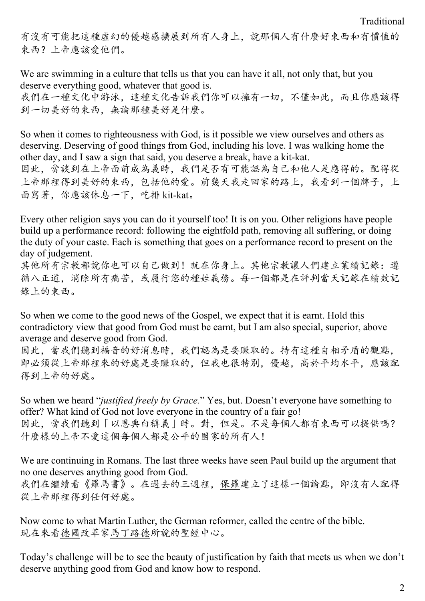Traditional

有沒有可能把這種虛幻的優越感擴展到所有人身上,說那個人有什麼好東西和有價值的 東西?上帝應該愛他們。

We are swimming in a culture that tells us that you can have it all, not only that, but you deserve everything good, whatever that good is. 我們在一種文化中游泳,這種文化告訴我們你可以擁有一切,不僅如此,而且你應該得 到一切美好的東西,無論那種美好是什麼。

So when it comes to righteousness with God, is it possible we view ourselves and others as deserving. Deserving of good things from God, including his love. I was walking home the other day, and I saw a sign that said, you deserve a break, have a kit-kat. 因此,當談到在上帝面前成為義時,我們是否有可能認為自己和他人是應得的。配得從

上帝那裡得到美好的東西,包括他的愛。前幾天我走回家的路上,我看到一個牌子,上 面寫著,你應該休息一下,吃排 kit-kat。

Every other religion says you can do it yourself too! It is on you. Other religions have people build up a performance record: following the eightfold path, removing all suffering, or doing the duty of your caste. Each is something that goes on a performance record to present on the day of judgement.

其他所有宗教都說你也可以自己做到!就在你身上。其他宗教讓人們建立業績記錄:遵 循八正道,消除所有痛苦,或履行您的種姓義務。每一個都是在評判當天記錄在績效記 錄上的東西。

So when we come to the good news of the Gospel, we expect that it is earnt. Hold this contradictory view that good from God must be earnt, but I am also special, superior, above average and deserve good from God.

因此,當我們聽到福音的好消息時,我們認為是要賺取的。持有這種自相矛盾的觀點, 即必須從上帝那裡來的好處是要賺取的,但我也很特別,優越,高於平均水平,應該配 得到上帝的好處。

So when we heard "*justified freely by Grace.*" Yes, but. Doesn't everyone have something to offer? What kind of God not love everyone in the country of a fair go! 因此,當我們聽到「以恩典白稱義」時。對,但是。不是每個人都有東西可以提供嗎? 什麼樣的上帝不愛這個每個人都是公平的國家的所有人!

We are continuing in Romans. The last three weeks have seen Paul build up the argument that no one deserves anything good from God. 我們在繼續看《羅馬書》。在過去的三週裡,保羅建立了這樣一個論點,即沒有人配得 從上帝那裡得到任何好處。

Now come to what Martin Luther, the German reformer, called the centre of the bible. 現在來看德國改革家馬丁路德所說的聖經中心。

Today's challenge will be to see the beauty of justification by faith that meets us when we don't deserve anything good from God and know how to respond.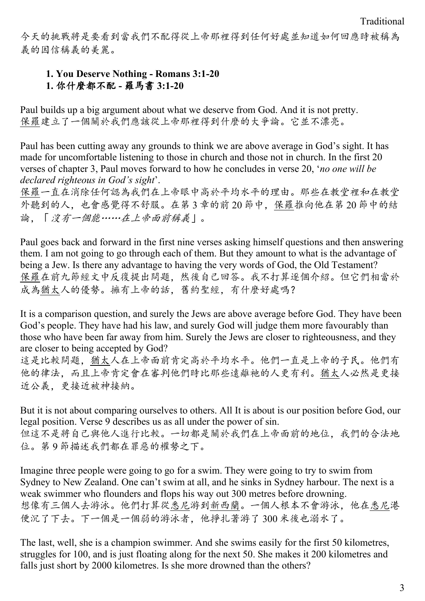今天的挑戰將是要看到當我們不配得從上帝那裡得到任何好處並知道如何回應時被稱為 義的因信稱義的美麗。

## **1. You Deserve Nothing - Romans 3:1-20 1.** 你什麼都不配 **-** 羅馬書 **3:1-20**

Paul builds up a big argument about what we deserve from God. And it is not pretty. 保羅建立了一個關於我們應該從上帝那裡得到什麼的大爭論。它並不漂亮。

Paul has been cutting away any grounds to think we are above average in God's sight. It has made for uncomfortable listening to those in church and those not in church. In the first 20 verses of chapter 3, Paul moves forward to how he concludes in verse 20, '*no one will be declared righteous in God's sight*'.

保羅一直在消除任何認為我們在上帝眼中高於平均水平的理由。那些在教堂裡和在教堂 外聽到的人,也會感覺得不舒服。在第 3 章的前 20 節中,保羅推向他在第 20 節中的結 論,「沒有一個能……在上帝面前稱義」。

Paul goes back and forward in the first nine verses asking himself questions and then answering them. I am not going to go through each of them. But they amount to what is the advantage of being a Jew. Is there any advantage to having the very words of God, the Old Testament? 保羅在前九節經文中反復提出問題,然後自己回答。我不打算逐個介紹。但它們相當於 成為猶太人的優勢。擁有上帝的話,舊約聖經,有什麼好處嗎?

It is a comparison question, and surely the Jews are above average before God. They have been God's people. They have had his law, and surely God will judge them more favourably than those who have been far away from him. Surely the Jews are closer to righteousness, and they are closer to being accepted by God?

這是比較問題,猶太人在上帝面前肯定高於平均水平。他們一直是上帝的子民。他們有 他的律法,而且上帝肯定會在審判他們時比那些遠離祂的人更有利。猶太人必然是更接 近公義,更接近被神接納。

But it is not about comparing ourselves to others. All It is about is our position before God, our legal position. Verse 9 describes us as all under the power of sin. 但這不是將自己與他人進行比較。一切都是關於我們在上帝面前的地位,我們的合法地 位。第 9 節描述我們都在罪惡的權勢之下。

Imagine three people were going to go for a swim. They were going to try to swim from Sydney to New Zealand. One can't swim at all, and he sinks in Sydney harbour. The next is a weak swimmer who flounders and flops his way out 300 metres before drowning. 想像有三個人去游泳。他們打算從悉尼游到新西蘭。一個人根本不會游泳,他在悉尼港 便沉了下去。下一個是一個弱的游泳者,他掙扎著游了 300 米後也溺水了。

The last, well, she is a champion swimmer. And she swims easily for the first 50 kilometres, struggles for 100, and is just floating along for the next 50. She makes it 200 kilometres and falls just short by 2000 kilometres. Is she more drowned than the others?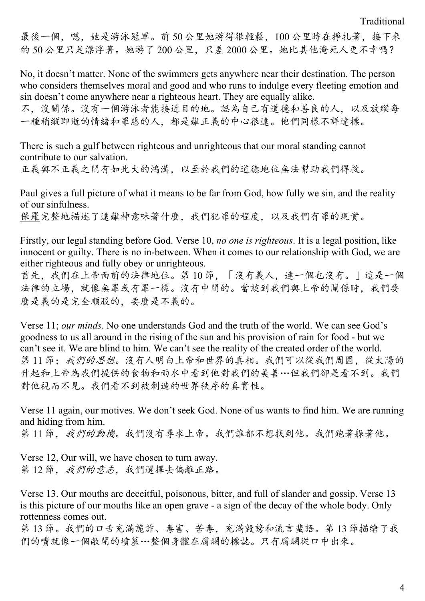最後一個,嗯,她是游泳冠軍。前50公里她游得很輕鬆,100公里時在掙扎著,接下來 的 50 公里只是漂浮著。她游了 200 公里,只差 2000 公里。她比其他淹死人更不幸嗎?

No, it doesn't matter. None of the swimmers gets anywhere near their destination. The person who considers themselves moral and good and who runs to indulge every fleeting emotion and sin doesn't come anywhere near a righteous heart. They are equally alike.

不,沒關係。沒有一個游泳者能接近目的地。認為自己有道德和善良的人,以及放縱每 一種稍縱即逝的情緒和罪惡的人,都是離正義的中心很遠。他們同樣不詳達標。

There is such a gulf between righteous and unrighteous that our moral standing cannot contribute to our salvation.

正義與不正義之間有如此大的鴻溝,以至於我們的道德地位無法幫助我們得救。

Paul gives a full picture of what it means to be far from God, how fully we sin, and the reality of our sinfulness.

保羅完整地描述了遠離神意味著什麼,我們犯罪的程度,以及我們有罪的現實。

Firstly, our legal standing before God. Verse 10, *no one is righteous*. It is a legal position, like innocent or guilty. There is no in-between. When it comes to our relationship with God, we are either righteous and fully obey or unrighteous.

首先,我們在上帝面前的法律地位。第 10 節,「沒有義人,連一個也沒有。」這是一個 法律的立場,就像無罪或有罪一樣。沒有中間的。當談到我們與上帝的關係時,我們要 麼是義的是完全順服的,要麼是不義的。

Verse 11; *our minds*. No one understands God and the truth of the world. We can see God's goodness to us all around in the rising of the sun and his provision of rain for food - but we can't see it. We are blind to him. We can't see the reality of the created order of the world. 第11節;我們的思想。沒有人明白上帝和世界的真相。我們可以從我們周圍,從太陽的 升起和上帝為我們提供的食物和雨水中看到他對我們的美善…但我們卻是看不到。我們 對他視而不見。我們看不到被創造的世界秩序的真實性。

Verse 11 again, our motives. We don't seek God. None of us wants to find him. We are running and hiding from him.

第11節,我們的動機。我們沒有尋求上帝。我們誰都不想找到他。我們跑著躲著他。

Verse 12, Our will, we have chosen to turn away. 第12節,我們的意志,我們選擇去偏離正路。

Verse 13. Our mouths are deceitful, poisonous, bitter, and full of slander and gossip. Verse 13 is this picture of our mouths like an open grave - a sign of the decay of the whole body. Only rottenness comes out.

第 13 節。我們的口舌充滿詭詐、毒害、苦毒,充滿毀謗和流言蜚語。第 13 節描繪了我 們的嘴就像一個敞開的墳墓…整個身體在腐爛的標誌。只有腐爛從口中出來。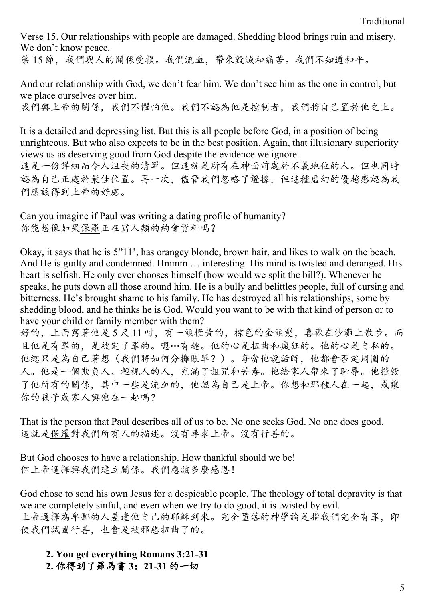Verse 15. Our relationships with people are damaged. Shedding blood brings ruin and misery. We don't know peace. 第15節,我們與人的關係受損。我們流血,帶來毀滅和痛苦。我們不知道和平。

And our relationship with God, we don't fear him. We don't see him as the one in control, but we place ourselves over him. 我們與上帝的關係,我們不懼怕他。我們不認為他是控制者,我們將自己置於他之上。

It is a detailed and depressing list. But this is all people before God, in a position of being unrighteous. But who also expects to be in the best position. Again, that illusionary superiority views us as deserving good from God despite the evidence we ignore. 這是一份詳細而令人沮喪的清單。但這就是所有在神面前處於不義地位的人。但也同時 認為自己正處於最佳位置。再一次,儘管我們忽略了證據,但這種虛幻的優越感認為我 們應該得到上帝的好處。

Can you imagine if Paul was writing a dating profile of humanity? 你能想像如果保羅正在寫人類的約會資料嗎?

Okay, it says that he is 5"11', has orangey blonde, brown hair, and likes to walk on the beach. And He is guilty and condemned. Hmmm … interesting. His mind is twisted and deranged. His heart is selfish. He only ever chooses himself (how would we split the bill?). Whenever he speaks, he puts down all those around him. He is a bully and belittles people, full of cursing and bitterness. He's brought shame to his family. He has destroyed all his relationships, some by shedding blood, and he thinks he is God. Would you want to be with that kind of person or to have your child or family member with them?

好的,上面寫著他是 5 尺 11 吋, 有一頭橙黃的,棕色的金頭髮,喜歡在沙灘上散步。而 且他是有罪的,是被定了罪的。嗯…有趣。他的心是扭曲和瘋狂的。他的心是自私的。 他總只是為自己著想(我們將如何分攤賬單?)。每當他說話時,他都會否定周圍的 人。他是一個欺負人、輕視人的人,充滿了詛咒和苦毒。他給家人帶來了恥辱。他摧毀 了他所有的關係,其中一些是流血的,他認為自己是上帝。你想和那種人在一起,或讓 你的孩子或家人與他在一起嗎?

That is the person that Paul describes all of us to be. No one seeks God. No one does good. 這就是保羅對我們所有人的描述。沒有尋求上帝。沒有行善的。

But God chooses to have a relationship. How thankful should we be! 但上帝選擇與我們建立關係。我們應該多麼感恩!

God chose to send his own Jesus for a despicable people. The theology of total depravity is that we are completely sinful, and even when we try to do good, it is twisted by evil. 上帝選擇為卑鄙的人差遣他自己的耶穌到來。完全墮落的神學論是指我們完全有罪,即 使我們試圖行善,也會是被邪惡扭曲了的。

**2. You get everything Romans 3:21-31 2.** 你得到了羅馬書 **3**:**21-31** 的一切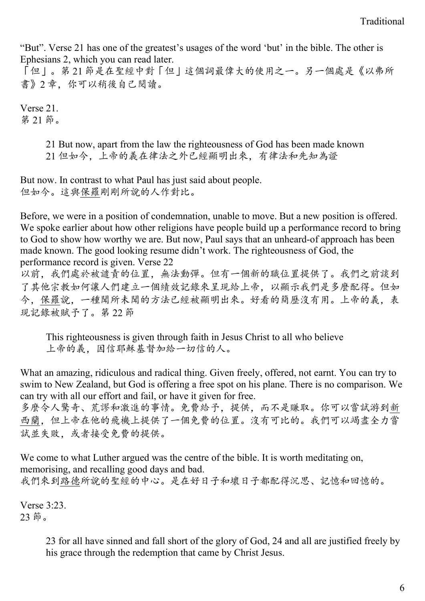"But". Verse 21 has one of the greatest's usages of the word 'but' in the bible. The other is Ephesians 2, which you can read later.

「但」。第 21 節是在聖經中對「但」這個詞最偉大的使用之一。另一個處是《以弗所 書》2 章,你可以稍後自己閱讀。

Verse 21. 第 21 節。

> 21 But now, apart from the law the righteousness of God has been made known 21 但如今,上帝的義在律法之外已經顯明出來,有律法和先知為證

But now. In contrast to what Paul has just said about people. 但如今。這與保羅剛剛所說的人作對比。

Before, we were in a position of condemnation, unable to move. But a new position is offered. We spoke earlier about how other religions have people build up a performance record to bring to God to show how worthy we are. But now, Paul says that an unheard-of approach has been made known. The good looking resume didn't work. The righteousness of God, the performance record is given. Verse 22

以前,我們處於被譴責的位置,無法動彈。但有一個新的職位置提供了。我們之前談到 了其他宗教如何讓人們建立一個績效記錄來呈現給上帝,以顯示我們是多麼配得。但如 今,保羅說,一種聞所未聞的方法已經被顯明出來。好看的簡歷沒有用。上帝的義,表 現記錄被賦予了。第 22 節

This righteousness is given through faith in Jesus Christ to all who believe 上帝的義,因信耶穌基督加給一切信的人。

What an amazing, ridiculous and radical thing. Given freely, offered, not earnt. You can try to swim to New Zealand, but God is offering a free spot on his plane. There is no comparison. We can try with all our effort and fail, or have it given for free.

多麼令人驚奇、荒謬和激進的事情。免費給予,提供,而不是賺取。你可以嘗試游到新 西蘭,但上帝在他的飛機上提供了一個免費的位置。沒有可比的。我們可以竭盡全力嘗 試並失敗,或者接受免費的提供。

We come to what Luther argued was the centre of the bible. It is worth meditating on, memorising, and recalling good days and bad. 我們來到路德所說的聖經的中心。是在好日子和壞日子都配得沉思、記憶和回憶的。

Verse 3:23. 23 節。

> 23 for all have sinned and fall short of the glory of God, 24 and all are justified freely by his grace through the redemption that came by Christ Jesus.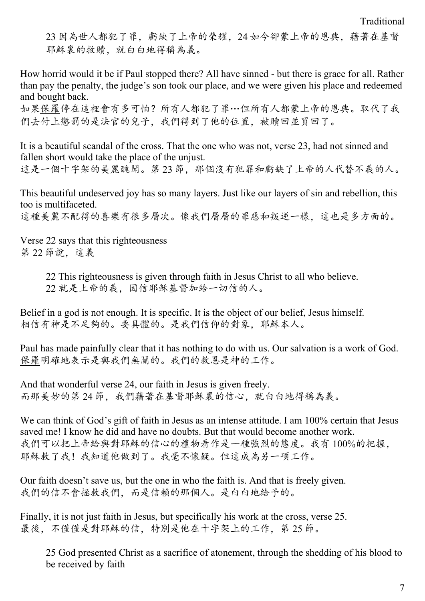Traditional

23 因為世人都犯了罪,虧缺了上帝的榮耀,24 如今卻蒙上帝的恩典,藉著在基督 耶穌裏的救贖,就白白地得稱為義。

How horrid would it be if Paul stopped there? All have sinned - but there is grace for all. Rather than pay the penalty, the judge's son took our place, and we were given his place and redeemed and bought back.

如果保羅停在這裡會有多可怕?所有人都犯了罪…但所有人都蒙上帝的恩典。取代了我 們去付上懲罰的是法官的兒子,我們得到了他的位置,被贖回並買回了。

It is a beautiful scandal of the cross. That the one who was not, verse 23, had not sinned and fallen short would take the place of the unjust. 這是一個十字架的美麗醜聞。第 23 節, 那個沒有犯罪和虧缺了上帝的人代替不義的人。

This beautiful undeserved joy has so many layers. Just like our layers of sin and rebellion, this too is multifaceted. 這種美麗不配得的喜樂有很多層次。像我們層層的罪惡和叛逆一樣,這也是多方面的。

Verse 22 says that this righteousness 第 22 節說,這義

> 22 This righteousness is given through faith in Jesus Christ to all who believe. 22 就是上帝的義,因信耶穌基督加給一切信的人。

Belief in a god is not enough. It is specific. It is the object of our belief, Jesus himself. 相信有神是不足夠的。要具體的。是我們信仰的對象,耶穌本人。

Paul has made painfully clear that it has nothing to do with us. Our salvation is a work of God. 保羅明確地表示是與我們無關的。我們的救恩是神的工作。

And that wonderful verse 24, our faith in Jesus is given freely. 而那美妙的第 24 節, 我們藉著在基督耶穌裏的信心, 就白白地得稱為義。

We can think of God's gift of faith in Jesus as an intense attitude. I am 100% certain that Jesus saved me! I know he did and have no doubts. But that would become another work. 我們可以把上帝給與對耶穌的信心的禮物看作是一種強烈的態度。我有 100%的把握, 耶穌救了我!我知道他做到了。我毫不懷疑。但這成為另一項工作。

Our faith doesn't save us, but the one in who the faith is. And that is freely given. 我們的信不會拯救我們,而是信賴的那個人。是白白地給予的。

Finally, it is not just faith in Jesus, but specifically his work at the cross, verse 25. 最後,不僅僅是對耶穌的信,特別是他在十字架上的工作,第 25 節。

25 God presented Christ as a sacrifice of atonement, through the shedding of his blood to be received by faith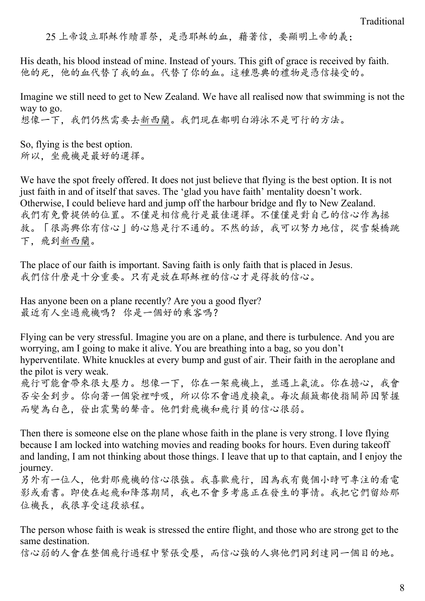25 上帝設立耶穌作贖罪祭,是憑耶穌的血,藉著信,要顯明上帝的義;

His death, his blood instead of mine. Instead of yours. This gift of grace is received by faith. 他的死,他的血代替了我的血。代替了你的血。這種恩典的禮物是憑信接受的。

Imagine we still need to get to New Zealand. We have all realised now that swimming is not the way to go. 想像一下,我們仍然需要去新西蘭。我們現在都明白游泳不是可行的方法。

So, flying is the best option. 所以,坐飛機是最好的選擇。

We have the spot freely offered. It does not just believe that flying is the best option. It is not just faith in and of itself that saves. The 'glad you have faith' mentality doesn't work. Otherwise, I could believe hard and jump off the harbour bridge and fly to New Zealand. 我們有免費提供的位置。不僅是相信飛行是最佳選擇。不僅僅是對自己的信心作為拯 救。「很高興你有信心」的心態是行不通的。不然的話,我可以努力地信,從雪梨橋跳 下,飛到新西蘭。

The place of our faith is important. Saving faith is only faith that is placed in Jesus. 我們信什麼是十分重要。只有是放在耶穌裡的信心才是得救的信心。

Has anyone been on a plane recently? Are you a good flyer? 最近有人坐過飛機嗎? 你是一個好的乘客嗎?

Flying can be very stressful. Imagine you are on a plane, and there is turbulence. And you are worrying, am I going to make it alive. You are breathing into a bag, so you don't hyperventilate. White knuckles at every bump and gust of air. Their faith in the aeroplane and the pilot is very weak. 飛行可能會帶來很大壓力。想像一下,你在一架飛機上,並遇上氣流。你在擔心,我會 否安全到步。你向著一個袋裡呼吸,所以你不會過度換氣。每次顛簸都使指關節因緊握 而變為白色,發出震驚的聲音。他們對飛機和飛行員的信心很弱。

Then there is someone else on the plane whose faith in the plane is very strong. I love flying because I am locked into watching movies and reading books for hours. Even during takeoff and landing, I am not thinking about those things. I leave that up to that captain, and I enjoy the journey.

另外有一位人,他對那飛機的信心很強。我喜歡飛行,因為我有幾個小時可專注的看電 影或看書。即使在起飛和降落期間,我也不會多考慮正在發生的事情。我把它們留給那 位機長,我很享受這段旅程。

The person whose faith is weak is stressed the entire flight, and those who are strong get to the same destination.

信心弱的人會在整個飛行過程中緊張受壓,而信心強的人與他們同到達同一個目的地。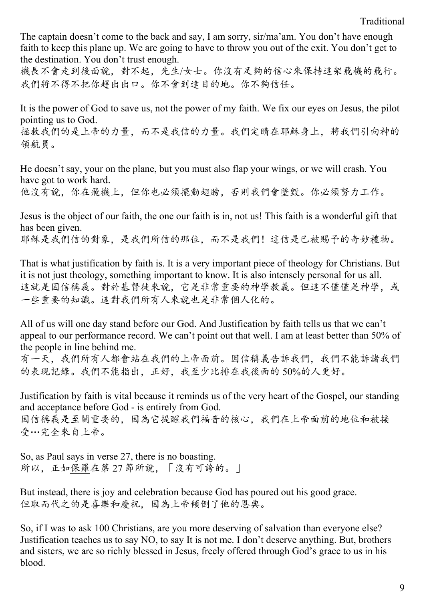The captain doesn't come to the back and say, I am sorry, sir/ma'am. You don't have enough faith to keep this plane up. We are going to have to throw you out of the exit. You don't get to the destination. You don't trust enough.

機長不會走到後面說,對不起,先生/女士。你沒有足夠的信心來保持這架飛機的飛行。 我們將不得不把你趕出出口。你不會到達目的地。你不夠信任。

It is the power of God to save us, not the power of my faith. We fix our eyes on Jesus, the pilot pointing us to God.

拯救我們的是上帝的力量,而不是我信的力量。我們定睛在耶穌身上,將我們引向神的 領航員。

He doesn't say, your on the plane, but you must also flap your wings, or we will crash. You have got to work hard.

他沒有說,你在飛機上,但你也必須擺動翅膀,否則我們會墜毀。你必須努力工作。

Jesus is the object of our faith, the one our faith is in, not us! This faith is a wonderful gift that has been given. 耶穌是我們信的對象,是我們所信的那位,而不是我們!這信是已被賜予的奇妙禮物。

That is what justification by faith is. It is a very important piece of theology for Christians. But it is not just theology, something important to know. It is also intensely personal for us all. 這就是因信稱義。對於基督徒來說,它是非常重要的神學教義。但這不僅僅是神學,或 一些重要的知識。這對我們所有人來說也是非常個人化的。

All of us will one day stand before our God. And Justification by faith tells us that we can't appeal to our performance record. We can't point out that well. I am at least better than 50% of the people in line behind me.

有一天,我們所有人都會站在我們的上帝面前。因信稱義告訴我們,我們不能訴諸我們 的表現記錄。我們不能指出,正好,我至少比排在我後面的 50%的人更好。

Justification by faith is vital because it reminds us of the very heart of the Gospel, our standing and acceptance before God - is entirely from God. 因信稱義是至關重要的,因為它提醒我們福音的核心,我們在上帝面前的地位和被接 受…完全來自上帝。

So, as Paul says in verse 27, there is no boasting. 所以,正如保羅在第 27 節所說,「沒有可誇的。」

But instead, there is joy and celebration because God has poured out his good grace. 但取而代之的是喜樂和慶祝,因為上帝傾倒了他的恩典。

So, if I was to ask 100 Christians, are you more deserving of salvation than everyone else? Justification teaches us to say NO, to say It is not me. I don't deserve anything. But, brothers and sisters, we are so richly blessed in Jesus, freely offered through God's grace to us in his blood.